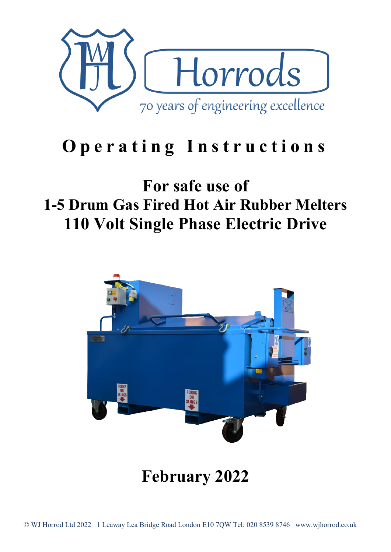

# **Operating Instructions**

## **For safe use of 1-5 Drum Gas Fired Hot Air Rubber Melters 110 Volt Single Phase Electric Drive**



**February 2022**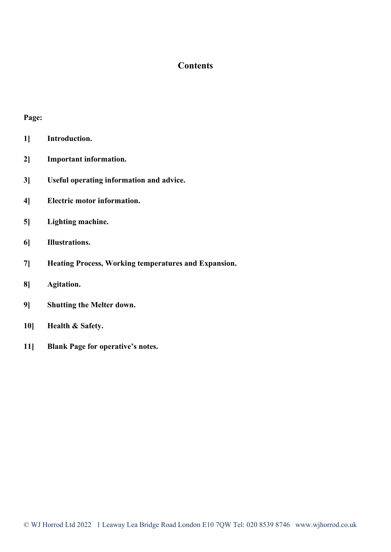#### **Contents**

#### **Page:**

- **1] Introduction.**
- **2] Important information.**
- **3] Useful operating information and advice.**
- **4] Electric motor information.**
- **5] Lighting machine.**
- **6] Illustrations.**
- **7] Heating Process, Working temperatures and Expansion.**
- **8] Agitation.**
- **9] Shutting the Melter down.**
- **10] Health & Safety.**
- **11] Blank Page for operative's notes.**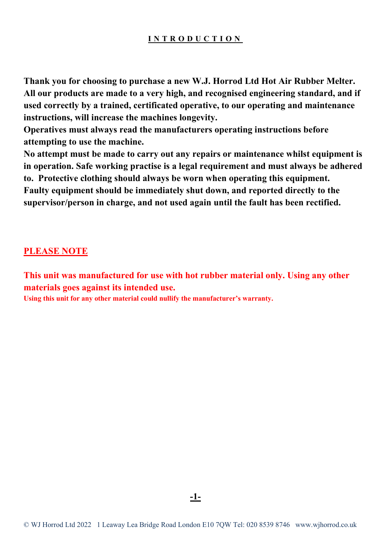#### **INTRODUCTION**

**Thank you for choosing to purchase a new W.J. Horrod Ltd Hot Air Rubber Melter. All our products are made to a very high, and recognised engineering standard, and if used correctly by a trained, certificated operative, to our operating and maintenance instructions, will increase the machines longevity.** 

**Operatives must always read the manufacturers operating instructions before attempting to use the machine.** 

**No attempt must be made to carry out any repairs or maintenance whilst equipment is in operation. Safe working practise is a legal requirement and must always be adhered to. Protective clothing should always be worn when operating this equipment. Faulty equipment should be immediately shut down, and reported directly to the supervisor/person in charge, and not used again until the fault has been rectified.** 

#### **PLEASE NOTE**

**This unit was manufactured for use with hot rubber material only. Using any other materials goes against its intended use.**

**Using this unit for any other material could nullify the manufacturer's warranty.** 

**-1-**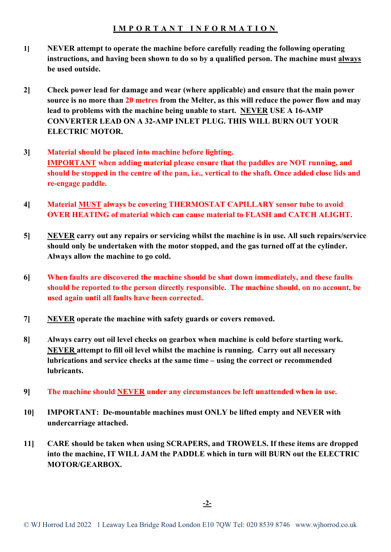#### **IMPORTANT INFORMATION**

- **1] NEVER attempt to operate the machine before carefully reading the following operating instructions, and having been shown to do so by a qualified person. The machine must always be used outside.**
- **2] Check power lead for damage and wear (where applicable) and ensure that the main power source is no more than 20 metres from the Melter, as this will reduce the power flow and may lead to problems with the machine being unable to start. NEVER USE A 16-AMP CONVERTER LEAD ON A 32-AMP INLET PLUG. THIS WILL BURN OUT YOUR ELECTRIC MOTOR.**
- **3] Material should be placed into machine before lighting. IMPORTANT when adding material please ensure that the paddles are NOT running, and should be stopped in the centre of the pan, i.e., vertical to the shaft. Once added close lids and re-engage paddle.**
- **4] Material MUST always be covering THERMOSTAT CAPILLARY sensor tube to avoid OVER HEATING of material which can cause material to FLASH and CATCH ALIGHT.**
- **5] NEVER carry out any repairs or servicing whilst the machine is in use. All such repairs/service should only be undertaken with the motor stopped, and the gas turned off at the cylinder. Always allow the machine to go cold.**
- **6] When faults are discovered the machine should be shut down immediately, and these faults should be reported to the person directly responsible. The machine should, on no account, be used again until all faults have been corrected.**
- **7] NEVER operate the machine with safety guards or covers removed.**
- **8] Always carry out oil level checks on gearbox when machine is cold before starting work. NEVER attempt to fill oil level whilst the machine is running. Carry out all necessary lubrications and service checks at the same time – using the correct or recommended lubricants.**
- **9] The machine should NEVER under any circumstances be left unattended when in use.**
- **10] IMPORTANT: De-mountable machines must ONLY be lifted empty and NEVER with undercarriage attached.**
- **11] CARE should be taken when using SCRAPERS, and TROWELS. If these items are dropped into the machine, IT WILL JAM the PADDLE which in turn will BURN out the ELECTRIC MOTOR/GEARBOX.**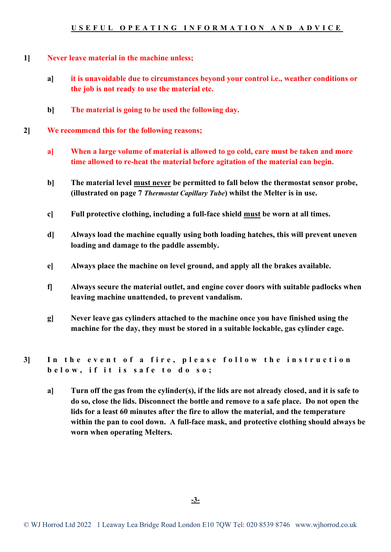- **1] Never leave material in the machine unless;**
	- **a] it is unavoidable due to circumstances beyond your control i.e., weather conditions or the job is not ready to use the material etc.**
	- **b] The material is going to be used the following day.**
- **2] We recommend this for the following reasons;**
	- **a] When a large volume of material is allowed to go cold, care must be taken and more time allowed to re-heat the material before agitation of the material can begin.**
	- **b] The material level must never be permitted to fall below the thermostat sensor probe, (illustrated on page 7** *Thermostat Capillary Tube***) whilst the Melter is in use.**
	- **c] Full protective clothing, including a full-face shield must be worn at all times.**
	- **d] Always load the machine equally using both loading hatches, this will prevent uneven loading and damage to the paddle assembly.**
	- **e] Always place the machine on level ground, and apply all the brakes available.**
	- **f] Always secure the material outlet, and engine cover doors with suitable padlocks when leaving machine unattended, to prevent vandalism.**
	- **g] Never leave gas cylinders attached to the machine once you have finished using the machine for the day, they must be stored in a suitable lockable, gas cylinder cage.**
- **3] In the event of a fire , please follow the instruction below , if it is safe to do so;**
	- **a] Turn off the gas from the cylinder(s), if the lids are not already closed, and it is safe to do so, close the lids. Disconnect the bottle and remove to a safe place. Do not open the lids for a least 60 minutes after the fire to allow the material, and the temperature within the pan to cool down. A full-face mask, and protective clothing should always be worn when operating Melters.**

**-3-**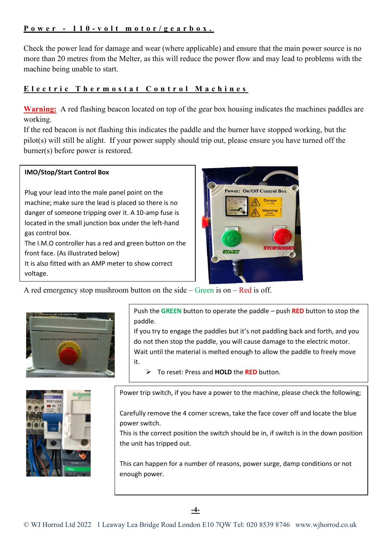#### **Power - 110 - volt motor/gearbox.**

Check the power lead for damage and wear (where applicable) and ensure that the main power source is no more than 20 metres from the Melter, as this will reduce the power flow and may lead to problems with the machine being unable to start.

#### **Electric Thermostat Control Machines**

**Warning:** A red flashing beacon located on top of the gear box housing indicates the machines paddles are working.

If the red beacon is not flashing this indicates the paddle and the burner have stopped working, but the pilot(s) will still be alight. If your power supply should trip out, please ensure you have turned off the burner(s) before power is restored.

#### **IMO/Stop/Start Control Box**

Plug your lead into the male panel point on the machine; make sure the lead is placed so there is no danger of someone tripping over it. A 10-amp fuse is located in the small junction box under the left-hand gas control box.

The I.M.O controller has a red and green button on the front face. (As illustrated below)

It is also fitted with an AMP meter to show correct voltage.



A red emergency stop mushroom button on the side – Green is on – Red is off.



Push the **GREEN** button to operate the paddle – push **RED** button to stop the paddle.

If you try to engage the paddles but it's not paddling back and forth, and you do not then stop the paddle, you will cause damage to the electric motor. Wait until the material is melted enough to allow the paddle to freely move it.

To reset: Press and **HOLD** the **RED** button.



Power trip switch, if you have a power to the machine, please check the following;

Carefully remove the 4 corner screws, take the face cover off and locate the blue power switch.

This is the correct position the switch should be in, if switch is in the down position the unit has tripped out.

This can happen for a number of reasons, power surge, damp conditions or not enough power.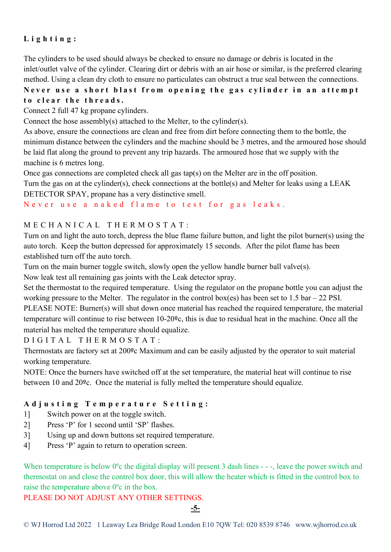#### **Lighting :**

The cylinders to be used should always be checked to ensure no damage or debris is located in the inlet/outlet valve of the cylinder. Clearing dirt or debris with an air hose or similar, is the preferred clearing method. Using a clean dry cloth to ensure no particulates can obstruct a true seal between the connections.

#### **Never use a short blast from opening the gas cylinder in an attempt to clear the threads.**

Connect 2 full 47 kg propane cylinders.

Connect the hose assembly(s) attached to the Melter, to the cylinder(s).

As above, ensure the connections are clean and free from dirt before connecting them to the bottle, the minimum distance between the cylinders and the machine should be 3 metres, and the armoured hose should be laid flat along the ground to prevent any trip hazards. The armoured hose that we supply with the machine is 6 metres long.

Once gas connections are completed check all gas tap(s) on the Melter are in the off position.

Turn the gas on at the cylinder(s), check connections at the bottle(s) and Melter for leaks using a LEAK DETECTOR SPAY, propane has a very distinctive smell.

Never use a naked flame to test for gas leaks.

#### MECHANICAL THERMOSTAT :

Turn on and light the auto torch, depress the blue flame failure button, and light the pilot burner(s) using the auto torch. Keep the button depressed for approximately 15 seconds. After the pilot flame has been established turn off the auto torch.

Turn on the main burner toggle switch, slowly open the yellow handle burner ball valve(s).

Now leak test all remaining gas joints with the Leak detector spray.

Set the thermostat to the required temperature. Using the regulator on the propane bottle you can adjust the working pressure to the Melter. The regulator in the control box(es) has been set to 1.5 bar – 22 PSI.

PLEASE NOTE: Burner(s) will shut down once material has reached the required temperature, the material temperature will continue to rise between 10-20ºc, this is due to residual heat in the machine. Once all the material has melted the temperature should equalize.

DIGITAL THERMOSTAT :

Thermostats are factory set at 200ºc Maximum and can be easily adjusted by the operator to suit material working temperature.

NOTE: Once the burners have switched off at the set temperature, the material heat will continue to rise between 10 and 20ºc. Once the material is fully melted the temperature should equalize.

#### **Adjusting Temperature Setting:**

- 1] Switch power on at the toggle switch.
- 2] Press 'P' for 1 second until 'SP' flashes.
- 3] Using up and down buttons set required temperature.
- 4] Press 'P' again to return to operation screen.

When temperature is below 0<sup>o</sup>c the digital display will present 3 dash lines - --, leave the power switch and thermostat on and close the control box door, this will allow the heater which is fitted in the control box to raise the temperature above 0ºc in the box.

PLEASE DO NOT ADJUST ANY OTHER SETTINGS.

**-5-**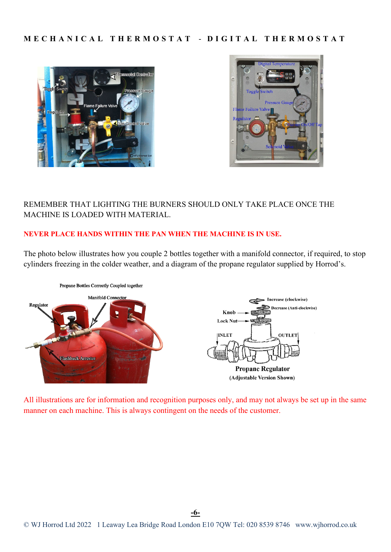#### **MECHANICAL THERMOSTAT** - **DIGITAL TH ERMOSTAT**





#### REMEMBER THAT LIGHTING THE BURNERS SHOULD ONLY TAKE PLACE ONCE THE MACHINE IS LOADED WITH MATERIAL.

#### **NEVER PLACE HANDS WITHIN THE PAN WHEN THE MACHINE IS IN USE.**

The photo below illustrates how you couple 2 bottles together with a manifold connector, if required, to stop cylinders freezing in the colder weather, and a diagram of the propane regulator supplied by Horrod's.



All illustrations are for information and recognition purposes only, and may not always be set up in the same manner on each machine. This is always contingent on the needs of the customer.

**-6-**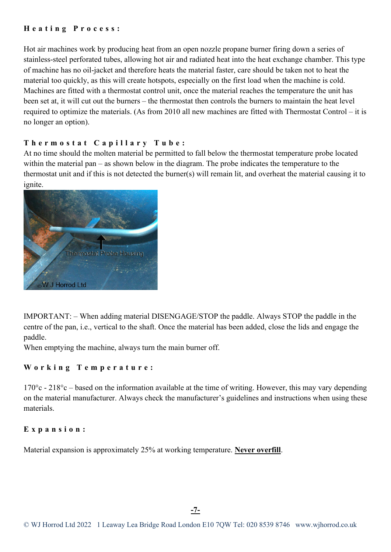#### **Heating Process:**

Hot air machines work by producing heat from an open nozzle propane burner firing down a series of stainless-steel perforated tubes, allowing hot air and radiated heat into the heat exchange chamber. This type of machine has no oil-jacket and therefore heats the material faster, care should be taken not to heat the material too quickly, as this will create hotspots, especially on the first load when the machine is cold. Machines are fitted with a thermostat control unit, once the material reaches the temperature the unit has been set at, it will cut out the burners – the thermostat then controls the burners to maintain the heat level required to optimize the materials. (As from 2010 all new machines are fitted with Thermostat Control – it is no longer an option).

#### **Thermostat Capillary Tube:**

At no time should the molten material be permitted to fall below the thermostat temperature probe located within the material pan – as shown below in the diagram. The probe indicates the temperature to the thermostat unit and if this is not detected the burner(s) will remain lit, and overheat the material causing it to ignite.



IMPORTANT: – When adding material DISENGAGE/STOP the paddle. Always STOP the paddle in the centre of the pan, i.e., vertical to the shaft. Once the material has been added, close the lids and engage the paddle.

When emptying the machine, always turn the main burner off.

#### **Working Temperature:**

 $170^{\circ}$ c -  $218^{\circ}$ c – based on the information available at the time of writing. However, this may vary depending on the material manufacturer. Always check the manufacturer's guidelines and instructions when using these materials.

#### **Expansion:**

Material expansion is approximately 25% at working temperature. **Never overfill**.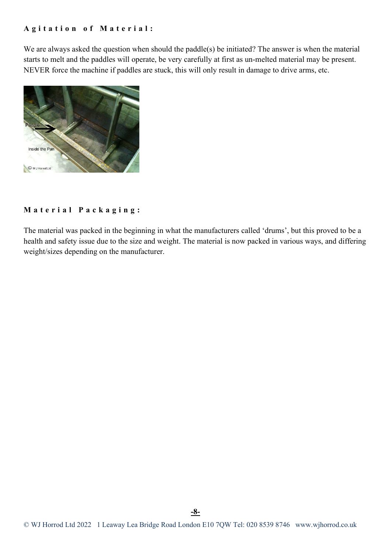#### **Agitation of Material:**

We are always asked the question when should the paddle(s) be initiated? The answer is when the material starts to melt and the paddles will operate, be very carefully at first as un-melted material may be present. NEVER force the machine if paddles are stuck, this will only result in damage to drive arms, etc.



#### **Material Packaging:**

The material was packed in the beginning in what the manufacturers called 'drums', but this proved to be a health and safety issue due to the size and weight. The material is now packed in various ways, and differing weight/sizes depending on the manufacturer.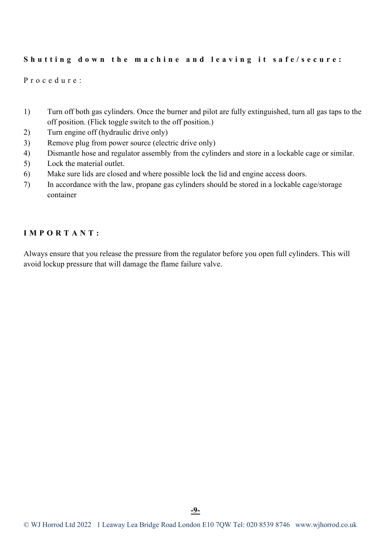#### **Shutting down the machine and leaving it safe/secure:**

Procedure:

- 1) Turn off both gas cylinders. Once the burner and pilot are fully extinguished, turn all gas taps to the off position. (Flick toggle switch to the off position.)
- 2) Turn engine off (hydraulic drive only)
- 3) Remove plug from power source (electric drive only)
- 4) Dismantle hose and regulator assembly from the cylinders and store in a lockable cage or similar.
- 5) Lock the material outlet.
- 6) Make sure lids are closed and where possible lock the lid and engine access doors.
- 7) In accordance with the law, propane gas cylinders should be stored in a lockable cage/storage container

#### **IMPORTANT:**

Always ensure that you release the pressure from the regulator before you open full cylinders. This will avoid lockup pressure that will damage the flame failure valve.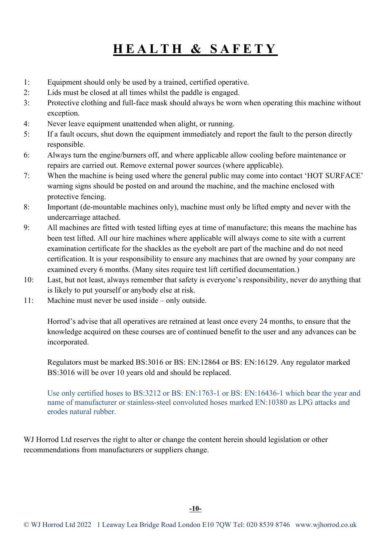### **HEALTH & SAFETY**

- 1: Equipment should only be used by a trained, certified operative.
- 2: Lids must be closed at all times whilst the paddle is engaged.
- 3: Protective clothing and full-face mask should always be worn when operating this machine without exception.
- 4: Never leave equipment unattended when alight, or running.
- 5: If a fault occurs, shut down the equipment immediately and report the fault to the person directly responsible.
- 6: Always turn the engine/burners off, and where applicable allow cooling before maintenance or repairs are carried out. Remove external power sources (where applicable).
- 7: When the machine is being used where the general public may come into contact 'HOT SURFACE' warning signs should be posted on and around the machine, and the machine enclosed with protective fencing.
- 8: Important (de-mountable machines only), machine must only be lifted empty and never with the undercarriage attached.
- 9: All machines are fitted with tested lifting eyes at time of manufacture; this means the machine has been test lifted. All our hire machines where applicable will always come to site with a current examination certificate for the shackles as the eyebolt are part of the machine and do not need certification. It is your responsibility to ensure any machines that are owned by your company are examined every 6 months. (Many sites require test lift certified documentation.)
- 10: Last, but not least, always remember that safety is everyone's responsibility, never do anything that is likely to put yourself or anybody else at risk.
- 11: Machine must never be used inside only outside.

Horrod's advise that all operatives are retrained at least once every 24 months, to ensure that the knowledge acquired on these courses are of continued benefit to the user and any advances can be incorporated.

Regulators must be marked BS:3016 or BS: EN:12864 or BS: EN:16129. Any regulator marked BS:3016 will be over 10 years old and should be replaced.

Use only certified hoses to BS:3212 or BS: EN:1763-1 or BS: EN:16436-1 which bear the year and name of manufacturer or stainless-steel convoluted hoses marked EN:10380 as LPG attacks and erodes natural rubber.

WJ Horrod Ltd reserves the right to alter or change the content herein should legislation or other recommendations from manufacturers or suppliers change.